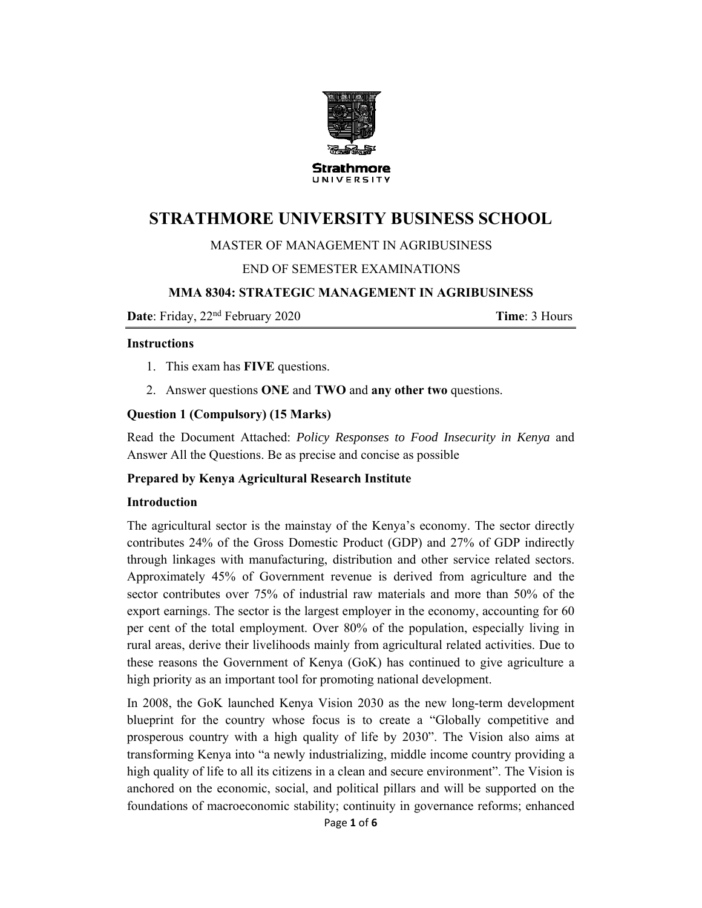

# **STRATHMORE UNIVERSITY BUSINESS SCHOOL**

### MASTER OF MANAGEMENT IN AGRIBUSINESS

### END OF SEMESTER EXAMINATIONS

### **MMA 8304: STRATEGIC MANAGEMENT IN AGRIBUSINESS**

**Date**: Friday, 22nd February 2020 **Time**: 3 Hours

#### **Instructions**

- 1. This exam has **FIVE** questions.
- 2. Answer questions **ONE** and **TWO** and **any other two** questions.

### **Question 1 (Compulsory) (15 Marks)**

Read the Document Attached: *Policy Responses to Food Insecurity in Kenya* and Answer All the Questions. Be as precise and concise as possible

### **Prepared by Kenya Agricultural Research Institute**

#### **Introduction**

The agricultural sector is the mainstay of the Kenya's economy. The sector directly contributes 24% of the Gross Domestic Product (GDP) and 27% of GDP indirectly through linkages with manufacturing, distribution and other service related sectors. Approximately 45% of Government revenue is derived from agriculture and the sector contributes over 75% of industrial raw materials and more than 50% of the export earnings. The sector is the largest employer in the economy, accounting for 60 per cent of the total employment. Over 80% of the population, especially living in rural areas, derive their livelihoods mainly from agricultural related activities. Due to these reasons the Government of Kenya (GoK) has continued to give agriculture a high priority as an important tool for promoting national development.

In 2008, the GoK launched Kenya Vision 2030 as the new long-term development blueprint for the country whose focus is to create a "Globally competitive and prosperous country with a high quality of life by 2030". The Vision also aims at transforming Kenya into "a newly industrializing, middle income country providing a high quality of life to all its citizens in a clean and secure environment". The Vision is anchored on the economic, social, and political pillars and will be supported on the foundations of macroeconomic stability; continuity in governance reforms; enhanced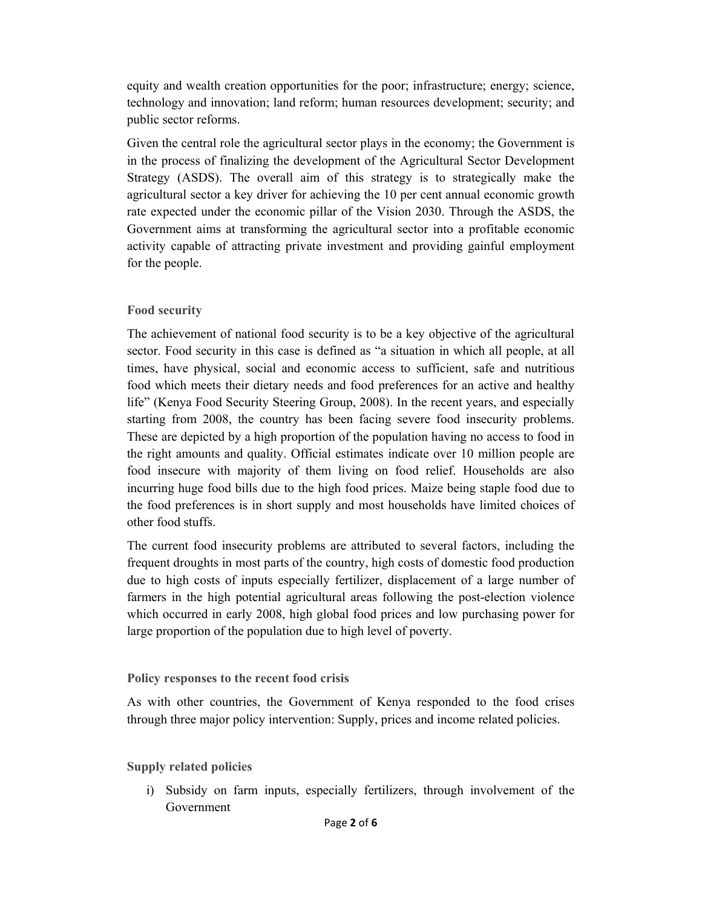equity and wealth creation opportunities for the poor; infrastructure; energy; science, technology and innovation; land reform; human resources development; security; and public sector reforms.

Given the central role the agricultural sector plays in the economy; the Government is in the process of finalizing the development of the Agricultural Sector Development Strategy (ASDS). The overall aim of this strategy is to strategically make the agricultural sector a key driver for achieving the 10 per cent annual economic growth rate expected under the economic pillar of the Vision 2030. Through the ASDS, the Government aims at transforming the agricultural sector into a profitable economic activity capable of attracting private investment and providing gainful employment for the people.

### **Food security**

The achievement of national food security is to be a key objective of the agricultural sector. Food security in this case is defined as "a situation in which all people, at all times, have physical, social and economic access to sufficient, safe and nutritious food which meets their dietary needs and food preferences for an active and healthy life" (Kenya Food Security Steering Group, 2008). In the recent years, and especially starting from 2008, the country has been facing severe food insecurity problems. These are depicted by a high proportion of the population having no access to food in the right amounts and quality. Official estimates indicate over 10 million people are food insecure with majority of them living on food relief. Households are also incurring huge food bills due to the high food prices. Maize being staple food due to the food preferences is in short supply and most households have limited choices of other food stuffs.

The current food insecurity problems are attributed to several factors, including the frequent droughts in most parts of the country, high costs of domestic food production due to high costs of inputs especially fertilizer, displacement of a large number of farmers in the high potential agricultural areas following the post-election violence which occurred in early 2008, high global food prices and low purchasing power for large proportion of the population due to high level of poverty.

### **Policy responses to the recent food crisis**

As with other countries, the Government of Kenya responded to the food crises through three major policy intervention: Supply, prices and income related policies.

### **Supply related policies**

i) Subsidy on farm inputs, especially fertilizers, through involvement of the Government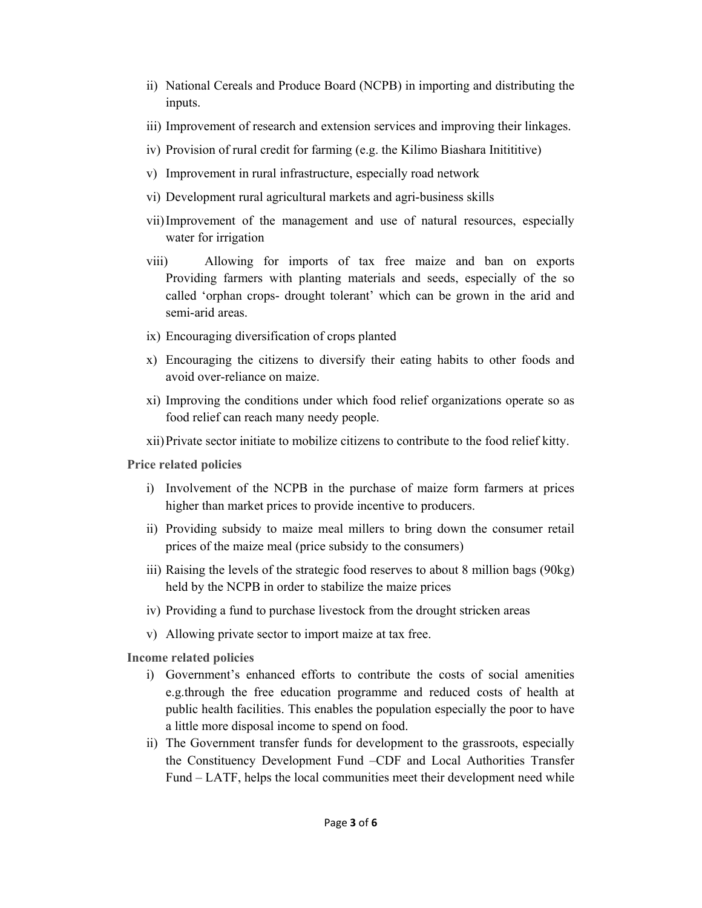- ii) National Cereals and Produce Board (NCPB) in importing and distributing the inputs.
- iii) Improvement of research and extension services and improving their linkages.
- iv) Provision of rural credit for farming (e.g. the Kilimo Biashara Initititive)
- v) Improvement in rural infrastructure, especially road network
- vi) Development rural agricultural markets and agri-business skills
- vii)Improvement of the management and use of natural resources, especially water for irrigation
- viii) Allowing for imports of tax free maize and ban on exports Providing farmers with planting materials and seeds, especially of the so called 'orphan crops- drought tolerant' which can be grown in the arid and semi-arid areas.
- ix) Encouraging diversification of crops planted
- x) Encouraging the citizens to diversify their eating habits to other foods and avoid over-reliance on maize.
- xi) Improving the conditions under which food relief organizations operate so as food relief can reach many needy people.
- xii)Private sector initiate to mobilize citizens to contribute to the food relief kitty.

**Price related policies** 

- i) Involvement of the NCPB in the purchase of maize form farmers at prices higher than market prices to provide incentive to producers.
- ii) Providing subsidy to maize meal millers to bring down the consumer retail prices of the maize meal (price subsidy to the consumers)
- iii) Raising the levels of the strategic food reserves to about 8 million bags (90kg) held by the NCPB in order to stabilize the maize prices
- iv) Providing a fund to purchase livestock from the drought stricken areas
- v) Allowing private sector to import maize at tax free.
- **Income related policies** 
	- i) Government's enhanced efforts to contribute the costs of social amenities e.g.through the free education programme and reduced costs of health at public health facilities. This enables the population especially the poor to have a little more disposal income to spend on food.
	- ii) The Government transfer funds for development to the grassroots, especially the Constituency Development Fund –CDF and Local Authorities Transfer Fund – LATF, helps the local communities meet their development need while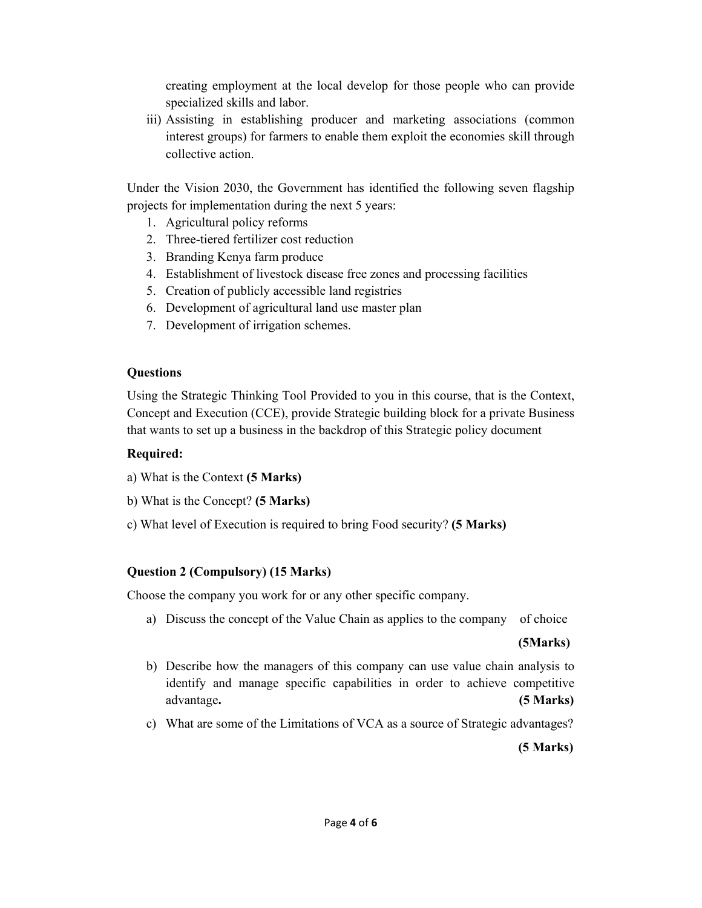creating employment at the local develop for those people who can provide specialized skills and labor.

iii) Assisting in establishing producer and marketing associations (common interest groups) for farmers to enable them exploit the economies skill through collective action.

Under the Vision 2030, the Government has identified the following seven flagship projects for implementation during the next 5 years:

- 1. Agricultural policy reforms
- 2. Three-tiered fertilizer cost reduction
- 3. Branding Kenya farm produce
- 4. Establishment of livestock disease free zones and processing facilities
- 5. Creation of publicly accessible land registries
- 6. Development of agricultural land use master plan
- 7. Development of irrigation schemes.

### **Questions**

Using the Strategic Thinking Tool Provided to you in this course, that is the Context, Concept and Execution (CCE), provide Strategic building block for a private Business that wants to set up a business in the backdrop of this Strategic policy document

## **Required:**

- a) What is the Context **(5 Marks)**
- b) What is the Concept? **(5 Marks)**
- c) What level of Execution is required to bring Food security? **(5 Marks)**

# **Question 2 (Compulsory) (15 Marks)**

Choose the company you work for or any other specific company.

a) Discuss the concept of the Value Chain as applies to the company of choice

### **(5Marks)**

- b) Describe how the managers of this company can use value chain analysis to identify and manage specific capabilities in order to achieve competitive advantage**. (5 Marks)**
- c) What are some of the Limitations of VCA as a source of Strategic advantages?

**(5 Marks)**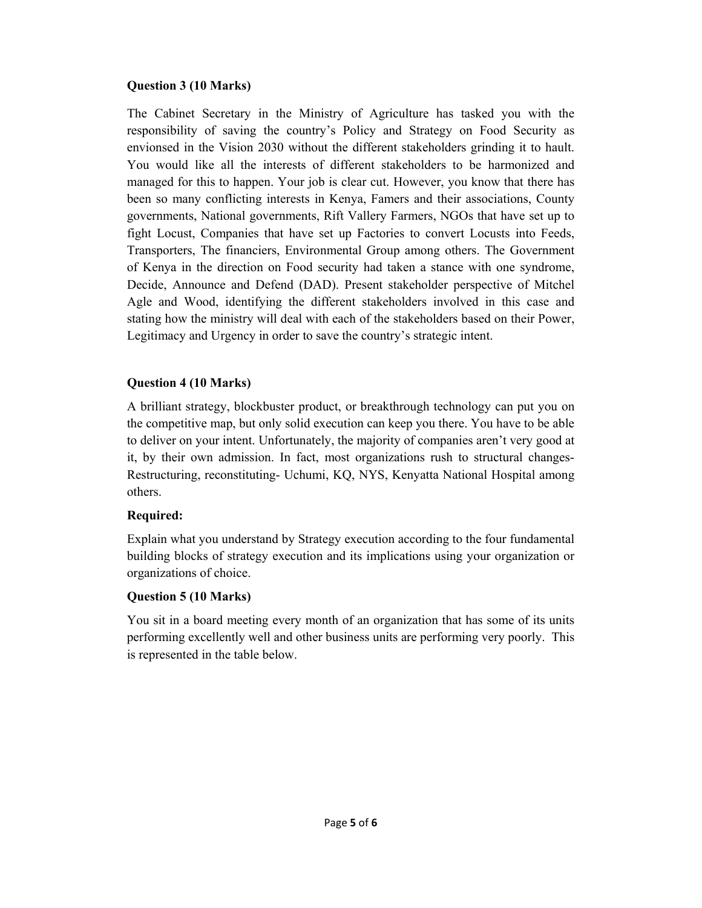### **Question 3 (10 Marks)**

The Cabinet Secretary in the Ministry of Agriculture has tasked you with the responsibility of saving the country's Policy and Strategy on Food Security as envionsed in the Vision 2030 without the different stakeholders grinding it to hault. You would like all the interests of different stakeholders to be harmonized and managed for this to happen. Your job is clear cut. However, you know that there has been so many conflicting interests in Kenya, Famers and their associations, County governments, National governments, Rift Vallery Farmers, NGOs that have set up to fight Locust, Companies that have set up Factories to convert Locusts into Feeds, Transporters, The financiers, Environmental Group among others. The Government of Kenya in the direction on Food security had taken a stance with one syndrome, Decide, Announce and Defend (DAD). Present stakeholder perspective of Mitchel Agle and Wood, identifying the different stakeholders involved in this case and stating how the ministry will deal with each of the stakeholders based on their Power, Legitimacy and Urgency in order to save the country's strategic intent.

### **Question 4 (10 Marks)**

A brilliant strategy, blockbuster product, or breakthrough technology can put you on the competitive map, but only solid execution can keep you there. You have to be able to deliver on your intent. Unfortunately, the majority of companies aren't very good at it, by their own admission. In fact, most organizations rush to structural changes-Restructuring, reconstituting- Uchumi, KQ, NYS, Kenyatta National Hospital among others.

### **Required:**

Explain what you understand by Strategy execution according to the four fundamental building blocks of strategy execution and its implications using your organization or organizations of choice.

### **Question 5 (10 Marks)**

You sit in a board meeting every month of an organization that has some of its units performing excellently well and other business units are performing very poorly. This is represented in the table below.